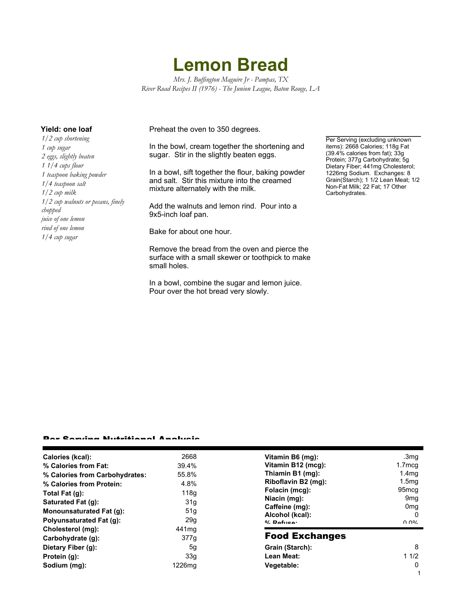## **Lemon Bread**

*Mrs. J. Buffington Maguire Jr - Pampas, TX River Road Recipes II (1976) - The Junion League, Baton Rouge, LA*

*1/2 cup shortening 1 cup sugar 2 eggs, slightly beaten 1 1/4 cups flour 1 teaspoon baking powder 1/4 teaspoon salt 1/2 cup milk 1/2 cup walnuts or pecans, finely chopped juice of one lemon rind of one lemon 1/4 cup sugar*

**Yield: one loaf** Preheat the oven to 350 degrees.

In the bowl, cream together the shortening and sugar. Stir in the slightly beaten eggs.

In a bowl, sift together the flour, baking powder and salt. Stir this mixture into the creamed mixture alternately with the milk.

Add the walnuts and lemon rind. Pour into a 9x5-inch loaf pan.

Bake for about one hour.

Remove the bread from the oven and pierce the surface with a small skewer or toothpick to make small holes.

In a bowl, combine the sugar and lemon juice. Pour over the hot bread very slowly.

Per Serving (excluding unknown items): 2668 Calories; 118g Fat (39.4% calories from fat); 33g Protein; 377g Carbohydrate; 5g Dietary Fiber; 441mg Cholesterol; 1226mg Sodium. Exchanges: 8 Grain(Starch); 1 1/2 Lean Meat; 1/2 Non-Fat Milk; 22 Fat; 17 Other Carbohydrates.

1

## Per Serving Nutritional Analysis

| Cholesterol (mg):<br>Carbohydrate (q):<br>Dietary Fiber (g):<br>Protein (g):<br>Sodium (mg):           | 441 <sub>mq</sub><br>377g<br>5g<br>33g<br>1226mg | <b>Food Exchanges</b><br>Grain (Starch):<br>Lean Meat:<br>Vegetable:                                | -8<br>11/2<br>0                                                               |
|--------------------------------------------------------------------------------------------------------|--------------------------------------------------|-----------------------------------------------------------------------------------------------------|-------------------------------------------------------------------------------|
| <b>Polyunsaturated Fat (g):</b>                                                                        | 29q                                              | Alcohol (kcal):<br>$0/2$ Dofition:                                                                  | 9 <sub>mg</sub><br>0 <sub>mg</sub><br>-0<br>በ በ%                              |
| Total Fat (g):<br>Saturated Fat (g):<br><b>Monounsaturated Fat (g):</b>                                | 118q<br>31g<br>51 <sub>g</sub>                   | Niacin (mg):<br>Caffeine (mg):                                                                      |                                                                               |
| Calories (kcal):<br>% Calories from Fat:<br>% Calories from Carbohydrates:<br>% Calories from Protein: | 2668<br>39.4%<br>55.8%<br>4.8%                   | Vitamin B6 (mg):<br>Vitamin B12 (mcg):<br>Thiamin B1 (mg):<br>Riboflavin B2 (mg):<br>Folacin (mcg): | .3mg<br>1.7mcg<br>1.4 <sub>mg</sub><br>1.5 <sub>mg</sub><br>95 <sub>mcg</sub> |